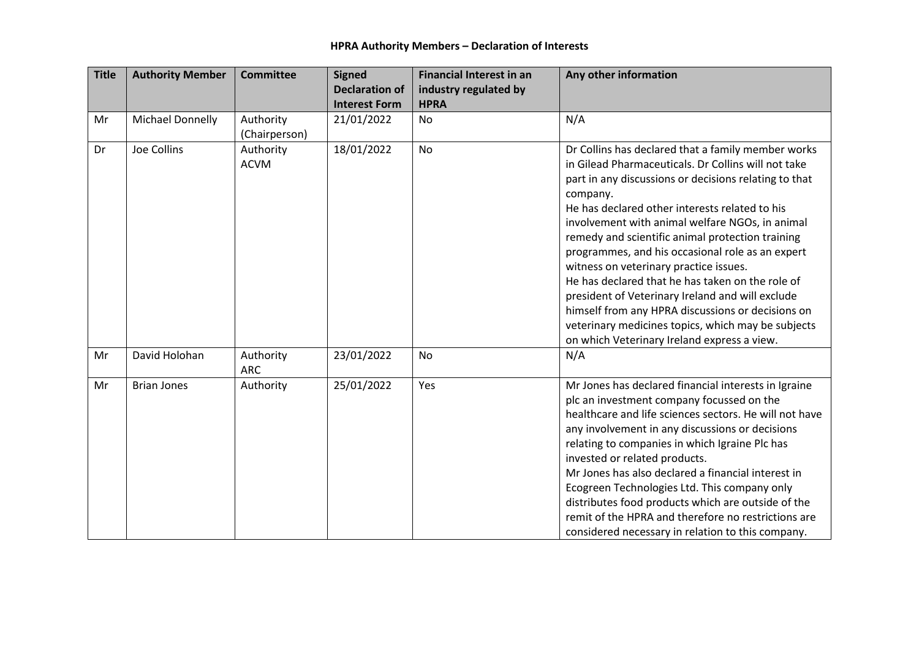| <b>Title</b> | <b>Authority Member</b> | <b>Committee</b>        | <b>Signed</b>         | <b>Financial Interest in an</b> | Any other information                                                                               |
|--------------|-------------------------|-------------------------|-----------------------|---------------------------------|-----------------------------------------------------------------------------------------------------|
|              |                         |                         | <b>Declaration of</b> | industry regulated by           |                                                                                                     |
|              |                         |                         | <b>Interest Form</b>  | <b>HPRA</b>                     |                                                                                                     |
| Mr           | Michael Donnelly        | Authority               | 21/01/2022            | <b>No</b>                       | N/A                                                                                                 |
|              |                         | (Chairperson)           |                       |                                 |                                                                                                     |
| Dr           | Joe Collins             | Authority               | 18/01/2022            | <b>No</b>                       | Dr Collins has declared that a family member works                                                  |
|              |                         | <b>ACVM</b>             |                       |                                 | in Gilead Pharmaceuticals. Dr Collins will not take                                                 |
|              |                         |                         |                       |                                 | part in any discussions or decisions relating to that                                               |
|              |                         |                         |                       |                                 | company.                                                                                            |
|              |                         |                         |                       |                                 | He has declared other interests related to his                                                      |
|              |                         |                         |                       |                                 | involvement with animal welfare NGOs, in animal<br>remedy and scientific animal protection training |
|              |                         |                         |                       |                                 | programmes, and his occasional role as an expert                                                    |
|              |                         |                         |                       |                                 | witness on veterinary practice issues.                                                              |
|              |                         |                         |                       |                                 | He has declared that he has taken on the role of                                                    |
|              |                         |                         |                       |                                 | president of Veterinary Ireland and will exclude                                                    |
|              |                         |                         |                       |                                 | himself from any HPRA discussions or decisions on                                                   |
|              |                         |                         |                       |                                 | veterinary medicines topics, which may be subjects                                                  |
|              |                         |                         |                       |                                 | on which Veterinary Ireland express a view.                                                         |
| Mr           | David Holohan           | Authority<br><b>ARC</b> | 23/01/2022            | No                              | N/A                                                                                                 |
| Mr           | <b>Brian Jones</b>      | Authority               | 25/01/2022            | Yes                             | Mr Jones has declared financial interests in Igraine                                                |
|              |                         |                         |                       |                                 | plc an investment company focussed on the                                                           |
|              |                         |                         |                       |                                 | healthcare and life sciences sectors. He will not have                                              |
|              |                         |                         |                       |                                 | any involvement in any discussions or decisions                                                     |
|              |                         |                         |                       |                                 | relating to companies in which Igraine Plc has                                                      |
|              |                         |                         |                       |                                 | invested or related products.                                                                       |
|              |                         |                         |                       |                                 | Mr Jones has also declared a financial interest in                                                  |
|              |                         |                         |                       |                                 | Ecogreen Technologies Ltd. This company only<br>distributes food products which are outside of the  |
|              |                         |                         |                       |                                 | remit of the HPRA and therefore no restrictions are                                                 |
|              |                         |                         |                       |                                 | considered necessary in relation to this company.                                                   |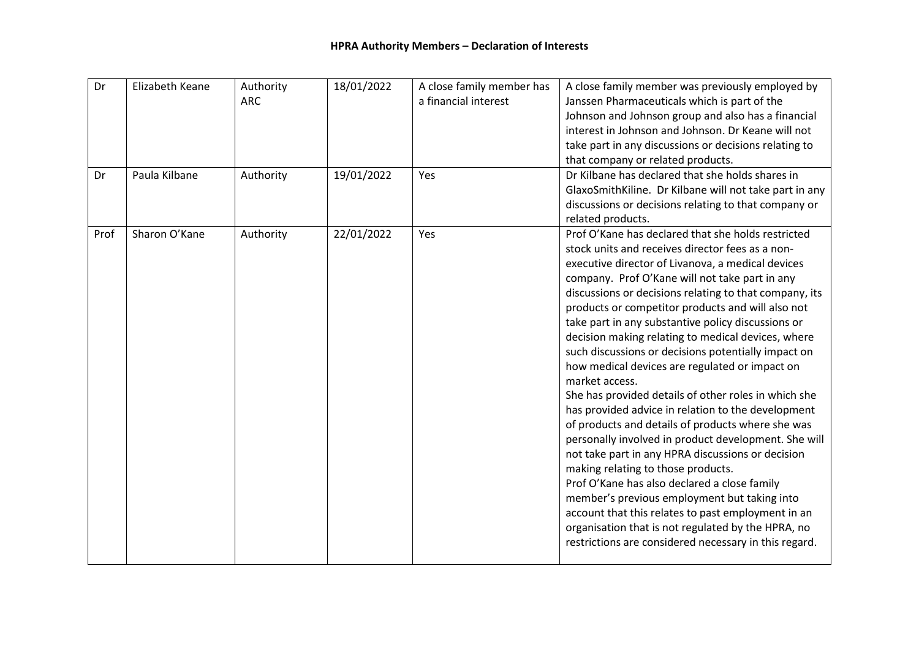| Dr<br>Dr | Elizabeth Keane<br>Paula Kilbane | Authority<br><b>ARC</b><br>Authority | 18/01/2022<br>19/01/2022 | A close family member has<br>a financial interest<br>Yes | A close family member was previously employed by<br>Janssen Pharmaceuticals which is part of the<br>Johnson and Johnson group and also has a financial<br>interest in Johnson and Johnson. Dr Keane will not<br>take part in any discussions or decisions relating to<br>that company or related products.<br>Dr Kilbane has declared that she holds shares in<br>GlaxoSmithKiline. Dr Kilbane will not take part in any<br>discussions or decisions relating to that company or<br>related products.                                                                                                                                                                                                                                                                                                                                                                                                                                                                                                                                                                                                                                                          |
|----------|----------------------------------|--------------------------------------|--------------------------|----------------------------------------------------------|----------------------------------------------------------------------------------------------------------------------------------------------------------------------------------------------------------------------------------------------------------------------------------------------------------------------------------------------------------------------------------------------------------------------------------------------------------------------------------------------------------------------------------------------------------------------------------------------------------------------------------------------------------------------------------------------------------------------------------------------------------------------------------------------------------------------------------------------------------------------------------------------------------------------------------------------------------------------------------------------------------------------------------------------------------------------------------------------------------------------------------------------------------------|
| Prof     | Sharon O'Kane                    | Authority                            | 22/01/2022               | Yes                                                      | Prof O'Kane has declared that she holds restricted<br>stock units and receives director fees as a non-<br>executive director of Livanova, a medical devices<br>company. Prof O'Kane will not take part in any<br>discussions or decisions relating to that company, its<br>products or competitor products and will also not<br>take part in any substantive policy discussions or<br>decision making relating to medical devices, where<br>such discussions or decisions potentially impact on<br>how medical devices are regulated or impact on<br>market access.<br>She has provided details of other roles in which she<br>has provided advice in relation to the development<br>of products and details of products where she was<br>personally involved in product development. She will<br>not take part in any HPRA discussions or decision<br>making relating to those products.<br>Prof O'Kane has also declared a close family<br>member's previous employment but taking into<br>account that this relates to past employment in an<br>organisation that is not regulated by the HPRA, no<br>restrictions are considered necessary in this regard. |